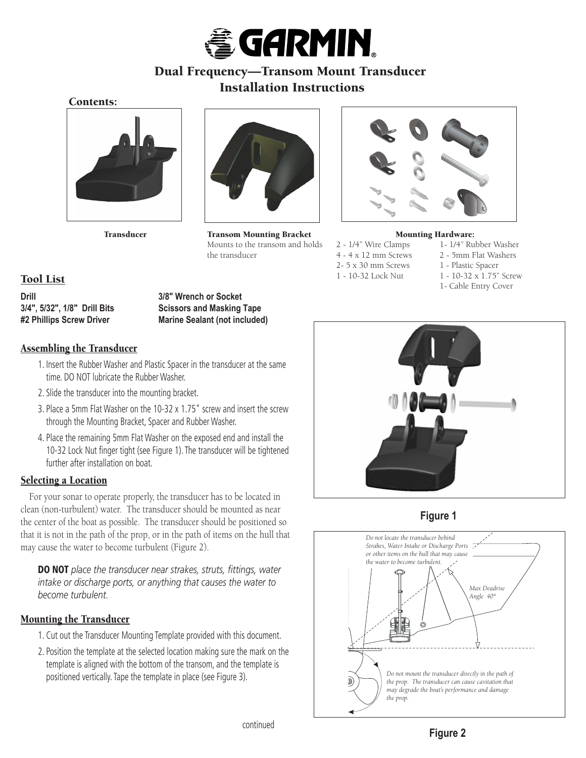

# Dual Frequency—Transom Mount Transducer Installation Instructions

## Contents:





Transducer Transom Mounting Bracket Mounts to the transom and holds the transducer



#### Mounting Hardware:

- 4 4 x 12 mm Screws 2 5mm Flat Washers 2- 5 x 30 mm Screws 1 - Plastic Spacer 1 - 10-32 Lock Nut 1 - 10-32 x 1.75" Screw
- 2 1/4" Wire Clamps 1- 1/4" Rubber Washer
	-
	-
	- 1- Cable Entry Cover







**Figure 2**

## Tool List

**Drill 3/8" Wrench or Socket**

**3/4", 5/32", 1/8" Drill Bits Scissors and Masking Tape #2 Phillips Screw Driver Marine Sealant (not included)**

## Assembling the Transducer

- 1. Insert the Rubber Washer and Plastic Spacer in the transducer at the same time. DO NOT lubricate the Rubber Washer.
- 2. Slide the transducer into the mounting bracket.
- 3. Place a 5mm Flat Washer on the 10-32 x 1.75" screw and insert the screw through the Mounting Bracket, Spacer and Rubber Washer.
- 4. Place the remaining 5mm Flat Washer on the exposed end and install the 10-32 Lock Nut finger tight (see Figure 1). The transducer will be tightened further after installation on boat.

## Selecting a Location

For your sonar to operate properly, the transducer has to be located in clean (non-turbulent) water. The transducer should be mounted as near the center of the boat as possible. The transducer should be positioned so that it is not in the path of the prop, or in the path of items on the hull that may cause the water to become turbulent (Figure 2).

**DO NOT** place the transducer near strakes, struts, fittings, water *intake or discharge ports, or anything that causes the water to become turbulent.*

## Mounting the Transducer

- 1. Cut out the Transducer Mounting Template provided with this document.
- 2. Position the template at the selected location making sure the mark on the template is aligned with the bottom of the transom, and the template is positioned vertically. Tape the template in place (see Figure 3).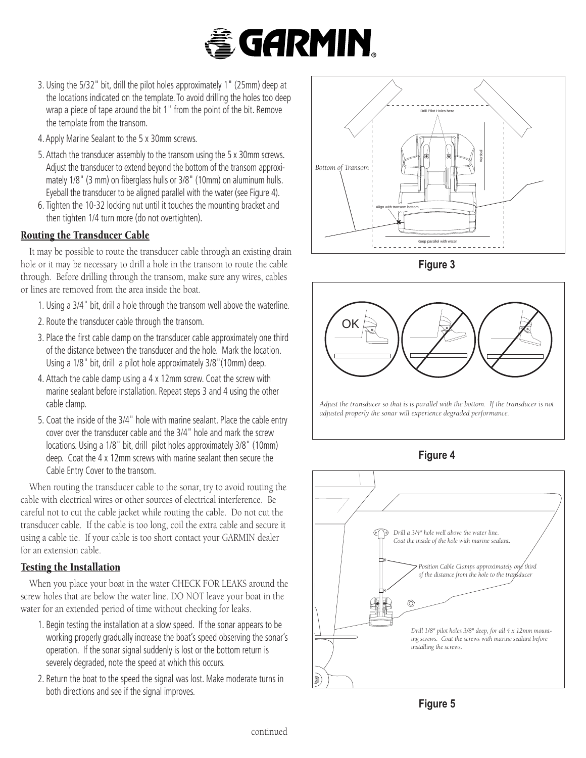# **E** GARMIN.

- 3. Using the 5/32" bit, drill the pilot holes approximately 1" (25mm) deep at the locations indicated on the template. To avoid drilling the holes too deep wrap a piece of tape around the bit 1" from the point of the bit. Remove the template from the transom.
- 4. Apply Marine Sealant to the 5 x 30mm screws.
- 5. Attach the transducer assembly to the transom using the 5 x 30mm screws. Adjust the transducer to extend beyond the bottom of the transom approximately 1/8" (3 mm) on fiberglass hulls or 3/8" (10mm) on aluminum hulls. Eyeball the transducer to be aligned parallel with the water (see Figure 4).
- 6. Tighten the 10-32 locking nut until it touches the mounting bracket and then tighten 1/4 turn more (do not overtighten).

## Routing the Transducer Cable

It may be possible to route the transducer cable through an existing drain hole or it may be necessary to drill a hole in the transom to route the cable through. Before drilling through the transom, make sure any wires, cables or lines are removed from the area inside the boat.

- 1. Using a 3/4" bit, drill a hole through the transom well above the waterline.
- 2. Route the transducer cable through the transom.
- 3. Place the first cable clamp on the transducer cable approximately one third of the distance between the transducer and the hole. Mark the location. Using a 1/8" bit, drill a pilot hole approximately 3/8"(10mm) deep.
- 4. Attach the cable clamp using a 4 x 12mm screw. Coat the screw with marine sealant before installation. Repeat steps 3 and 4 using the other cable clamp.
- 5. Coat the inside of the 3/4" hole with marine sealant. Place the cable entry cover over the transducer cable and the 3/4" hole and mark the screw locations. Using a 1/8" bit, drill pilot holes approximately 3/8" (10mm) deep. Coat the 4 x 12mm screws with marine sealant then secure the Cable Entry Cover to the transom.

When routing the transducer cable to the sonar, try to avoid routing the cable with electrical wires or other sources of electrical interference. Be careful not to cut the cable jacket while routing the cable. Do not cut the transducer cable. If the cable is too long, coil the extra cable and secure it using a cable tie. If your cable is too short contact your GARMIN dealer for an extension cable.

## Testing the Installation

When you place your boat in the water CHECK FOR LEAKS around the screw holes that are below the water line. DO NOT leave your boat in the water for an extended period of time without checking for leaks.

- 1. Begin testing the installation at a slow speed. If the sonar appears to be working properly gradually increase the boat's speed observing the sonar's operation. If the sonar signal suddenly is lost or the bottom return is severely degraded, note the speed at which this occurs.
- 2. Return the boat to the speed the signal was lost. Make moderate turns in both directions and see if the signal improves.



**Figure 3**



*Adjust the transducer so that is is parallel with the bottom. If the transducer is not adjusted properly the sonar will experience degraded performance.*





**Figure 5**